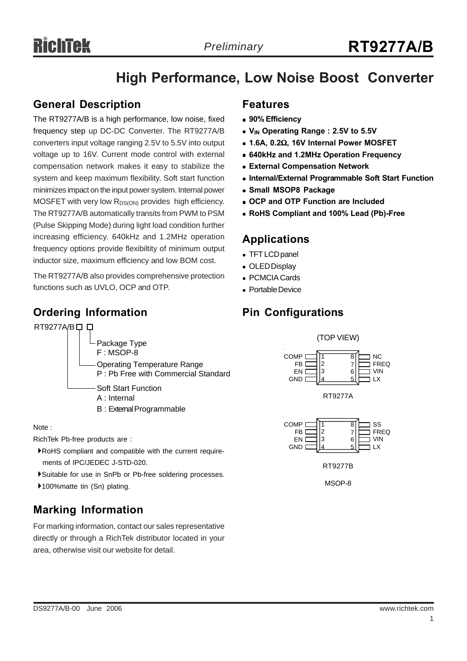## **High Performance, Low Noise Boost Converter**

## **General Description**

The RT9277A/B is a high performance, low noise, fixed frequency step up DC-DC Converter. The RT9277A/B converters input voltage ranging 2.5V to 5.5V into output voltage up to 16V. Current mode control with external compensation network makes it easy to stabilize the system and keep maximum flexibility. Soft start function minimizes impact on the input power system. Internal power MOSFET with very low  $R_{DS(ON)}$  provides high efficiency. The RT9277A/B automatically transits from PWM to PSM (Pulse Skipping Mode) during light load condition further increasing efficiency. 640kHz and 1.2MHz operation frequency options provide flexibiltity of minimum output inductor size, maximum efficiency and low BOM cost.

The RT9277A/B also provides comprehensive protection functions such as UVLO, OCP and OTP.

## **Ordering Information**

## RT9277A/B口口



B : External Programmable

#### Note :

RichTek Pb-free products are :

- `RoHS compliant and compatible with the current require ments of IPC/JEDEC J-STD-020.
- `Suitable for use in SnPb or Pb-free soldering processes.
- ▶100%matte tin (Sn) plating.

## **Marking Information**

For marking information, contact our sales representative directly or through a RichTek distributor located in your area, otherwise visit our website for detail.

## **Features**

- <sup>z</sup> **90% Efficiency**
- V<sub>IN</sub> Operating Range : 2.5V to 5.5V
- <sup>z</sup> **1.6A, 0.2**Ω**, 16V Internal Power MOSFET**
- <sup>z</sup> **640kHz and 1.2MHz Operation Frequency**
- $\bullet$  **External Compensation Network**
- **Internal/External Programmable Soft Start Function**
- **Small MSOP8 Package**
- **OCP and OTP Function are Included**
- <sup>z</sup> **RoHS Compliant and 100% Lead (Pb)-Free**

## **Applications**

- TFT LCD panel
- OLED Display
- PCMCIA Cards
- Portable Device

## **Pin Configurations**



MSOP-8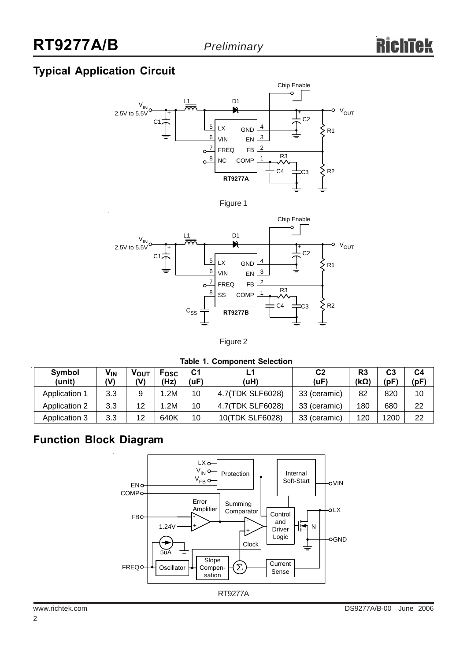## **Typical Application Circuit**



Figure 1



#### Figure 2

#### **Table 1. Component Selection**

| Symbol<br>(unit)     | <b>V<sub>IN</sub></b><br>(V) | Vουτ<br>(V) | Fosc<br>(Hz) | С1<br>(uF) | (uH)             | C <sub>2</sub><br>(uF) | R3<br>$(k\Omega)$ | C <sub>3</sub><br>(pF) | C <sub>4</sub><br>(pF) |
|----------------------|------------------------------|-------------|--------------|------------|------------------|------------------------|-------------------|------------------------|------------------------|
| <b>Application 1</b> | 3.3                          | 9           | .2M          | 10         | 4.7(TDK SLF6028) | 33 (ceramic)           | 82                | 820                    | 10                     |
| <b>Application 2</b> | 3.3                          | 12          | .2M          | 10         | 4.7(TDK SLF6028) | 33 (ceramic)           | 180               | 680                    | 22                     |
| Application 3        | 3.3                          | 12          | 640K         | 10         | 10(TDK SLF6028)  | 33 (ceramic)           | 120               | 1200                   | 22                     |

## **Function Block Diagram**

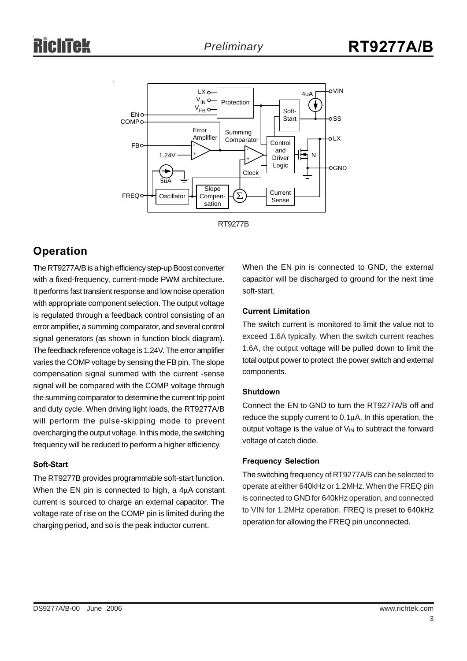



## **Operation**

The RT9277A/B is a high efficiency step-up Boost converter with a fixed-frequency, current-mode PWM architecture. It performs fast transient response and low noise operation with appropriate component selection. The output voltage is regulated through a feedback control consisting of an error amplifier, a summing comparator, and several control signal generators (as shown in function block diagram). The feedback reference voltage is 1.24V. The error amplifier varies the COMP voltage by sensing the FB pin. The slope compensation signal summed with the current -sense signal will be compared with the COMP voltage through the summing comparator to determine the current trip point and duty cycle. When driving light loads, the RT9277A/B will perform the pulse-skipping mode to prevent overcharging the output voltage. In this mode, the switching frequency will be reduced to perform a higher efficiency.

#### **Soft-Start**

The RT9277B provides programmable soft-start function. When the EN pin is connected to high, a 4μA constant current is sourced to charge an external capacitor. The voltage rate of rise on the COMP pin is limited during the charging period, and so is the peak inductor current.

When the EN pin is connected to GND, the external capacitor will be discharged to ground for the next time soft-start.

#### **Current Limitation**

The switch current is monitored to limit the value not to exceed 1.6A typically. When the switch current reaches 1.6A, the output voltage will be pulled down to limit the total output power to protect the power switch and external components.

#### **Shutdown**

Connect the EN to GND to turn the RT9277A/B off and reduce the supply current to 0.1μA. In this operation, the output voltage is the value of  $V_{IN}$  to subtract the forward voltage of catch diode.

#### **Frequency Selection**

The switching frequency of RT9277A/B can be selected to operate at either 640kHz or 1.2MHz. When the FREQ pin is connected to GND for 640kHz operation, and connected to VIN for 1.2MHz operation. FREQ is preset to 640kHz operation for allowing the FREQ pin unconnected.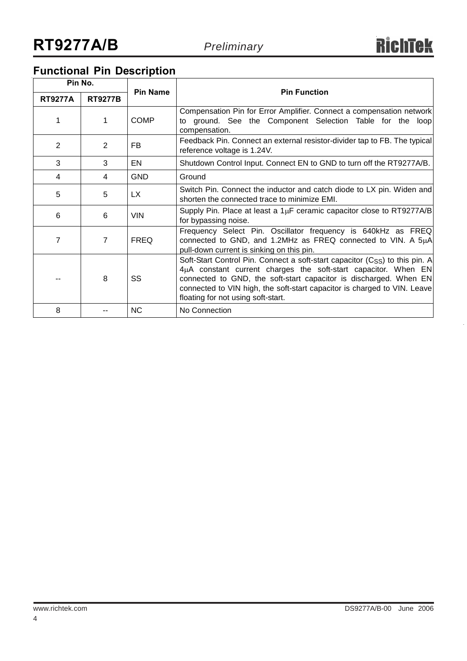## **Functional Pin Description**

| Pin No.        |                |                 |                                                                                                                                                                                                                                                                                                                                                   |  |  |  |  |
|----------------|----------------|-----------------|---------------------------------------------------------------------------------------------------------------------------------------------------------------------------------------------------------------------------------------------------------------------------------------------------------------------------------------------------|--|--|--|--|
| <b>RT9277A</b> | <b>RT9277B</b> | <b>Pin Name</b> | <b>Pin Function</b>                                                                                                                                                                                                                                                                                                                               |  |  |  |  |
| 1              | 1              | <b>COMP</b>     | Compensation Pin for Error Amplifier. Connect a compensation network<br>to ground. See the Component Selection Table for the loop<br>compensation.                                                                                                                                                                                                |  |  |  |  |
| 2              | 2              | FB.             | Feedback Pin. Connect an external resistor-divider tap to FB. The typical<br>reference voltage is 1.24V.                                                                                                                                                                                                                                          |  |  |  |  |
| 3              | 3              | EN              | Shutdown Control Input. Connect EN to GND to turn off the RT9277A/B.                                                                                                                                                                                                                                                                              |  |  |  |  |
| 4              | 4              | <b>GND</b>      | Ground                                                                                                                                                                                                                                                                                                                                            |  |  |  |  |
| 5              | 5              | LX.             | Switch Pin. Connect the inductor and catch diode to LX pin. Widen and<br>shorten the connected trace to minimize EMI.                                                                                                                                                                                                                             |  |  |  |  |
| 6              | 6              | <b>VIN</b>      | Supply Pin. Place at least a $1\mu$ F ceramic capacitor close to RT9277A/B<br>for bypassing noise.                                                                                                                                                                                                                                                |  |  |  |  |
| 7              | $\overline{7}$ | <b>FREQ</b>     | Frequency Select Pin. Oscillator frequency is 640kHz as FREQ<br>connected to GND, and 1.2MHz as FREQ connected to VIN. A 5µA<br>pull-down current is sinking on this pin.                                                                                                                                                                         |  |  |  |  |
|                | 8              | SS              | Soft-Start Control Pin. Connect a soft-start capacitor (C <sub>SS</sub> ) to this pin. A<br>4µA constant current charges the soft-start capacitor. When EN<br>connected to GND, the soft-start capacitor is discharged. When EN<br>connected to VIN high, the soft-start capacitor is charged to VIN. Leave<br>floating for not using soft-start. |  |  |  |  |
| 8              |                | <b>NC</b>       | No Connection                                                                                                                                                                                                                                                                                                                                     |  |  |  |  |

4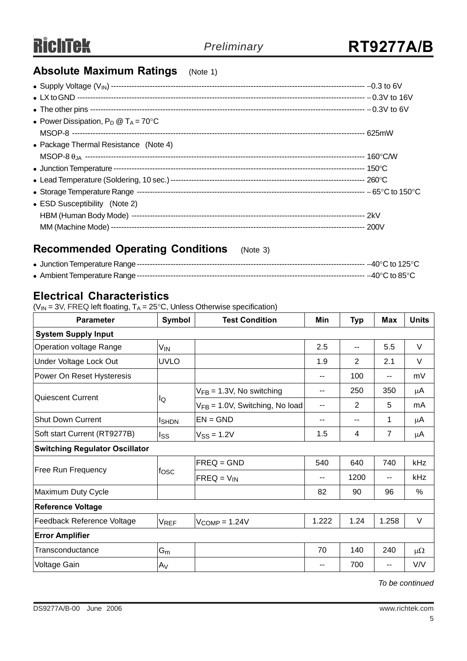## **Absolute Maximum Ratings** (Note 1)

| • Power Dissipation, $P_D @ T_A = 70^{\circ}C$ |  |
|------------------------------------------------|--|
|                                                |  |
| • Package Thermal Resistance (Note 4)          |  |
|                                                |  |
|                                                |  |
|                                                |  |
|                                                |  |
| • ESD Susceptibility (Note 2)                  |  |
|                                                |  |
|                                                |  |

## **Recommended Operating Conditions** (Note 3)

## **Electrical Characteristics**

( $V_{IN}$  = 3V, FREQ left floating,  $T_A$  = 25°C, Unless Otherwise specification)

| Symbol<br><b>Parameter</b>            |                   | <b>Test Condition</b>                | Min   | <b>Typ</b>     | <b>Max</b>     | <b>Units</b> |  |  |
|---------------------------------------|-------------------|--------------------------------------|-------|----------------|----------------|--------------|--|--|
| <b>System Supply Input</b>            |                   |                                      |       |                |                |              |  |  |
| Operation voltage Range               | V <sub>IN</sub>   |                                      | 2.5   | $-$            | 5.5            | $\vee$       |  |  |
| Under Voltage Lock Out                | <b>UVLO</b>       |                                      | 1.9   | $\overline{2}$ | 2.1            | $\vee$       |  |  |
| Power On Reset Hysteresis             |                   |                                      |       | 100            | --             | mV           |  |  |
| Quiescent Current                     |                   | $V_{FB} = 1.3V$ , No switching       |       | 250            | 350            | μA           |  |  |
|                                       | lQ                | $V_{FB} = 1.0V$ , Switching, No load | --    | 2              | 5              | mA           |  |  |
| Shut Down Current                     | I <sub>SHDN</sub> | $EN = GND$                           | --    | --             | 1              | μA           |  |  |
| Soft start Current (RT9277B)          | lss               | $V_{SS} = 1.2V$                      | 1.5   | 4              | $\overline{7}$ | μA           |  |  |
| <b>Switching Regulator Oscillator</b> |                   |                                      |       |                |                |              |  |  |
|                                       | fosc              | $FREG = GND$                         | 540   | 640            | 740            | kHz          |  |  |
| <b>Free Run Frequency</b>             |                   | $FREQ = V_{IN}$                      |       | 1200           |                | kHz          |  |  |
| Maximum Duty Cycle                    |                   |                                      | 82    | 90             | 96             | %            |  |  |
| <b>Reference Voltage</b>              |                   |                                      |       |                |                |              |  |  |
| Feedback Reference Voltage            | <b>VREF</b>       | $V_{COMP} = 1.24V$                   | 1.222 | 1.24           | 1.258          | V            |  |  |
| <b>Error Amplifier</b>                |                   |                                      |       |                |                |              |  |  |
| Transconductance                      | $G_m$             |                                      | 70    | 140            | 240            | $\mu\Omega$  |  |  |
| Voltage Gain                          | A <sub>V</sub>    |                                      | --    | 700            | $-$            | V/V          |  |  |

*To be continued*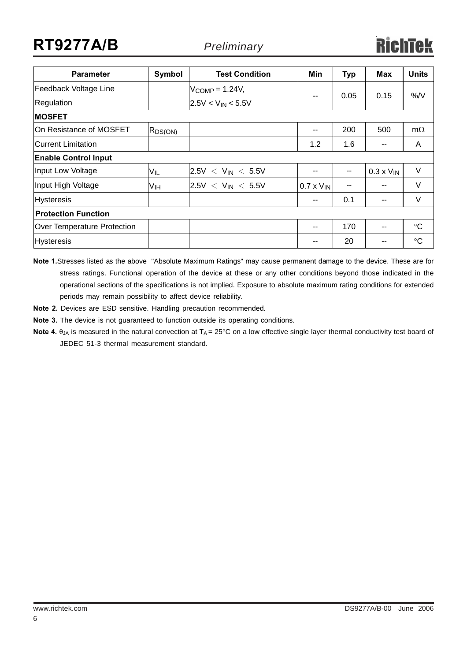# **RT9277A/B** *Preliminary*

| <b>Parameter</b>                   | Symbol          | <b>Test Condition</b>   | Min                 | <b>Typ</b> | Max                 | <b>Units</b>    |  |  |
|------------------------------------|-----------------|-------------------------|---------------------|------------|---------------------|-----------------|--|--|
| Feedback Voltage Line              |                 | $V_{COMP} = 1.24V$ ,    |                     |            |                     | %N              |  |  |
| Regulation                         |                 | $2.5V < V_{IN} < 5.5V$  | --                  | 0.05       | 0.15                |                 |  |  |
| <b>MOSFET</b>                      |                 |                         |                     |            |                     |                 |  |  |
| On Resistance of MOSFET            | $ R_{DS(ON)} $  |                         | $- -$               | 200        | 500                 | $m\Omega$       |  |  |
| Current Limitation                 |                 |                         | 1.2                 | 1.6        | --                  | A               |  |  |
| <b>Enable Control Input</b>        |                 |                         |                     |            |                     |                 |  |  |
| Input Low Voltage                  | $V_{IL}$        | $ 2.5V < V_{IN} < 5.5V$ |                     |            | $0.3 \times V_{IN}$ | $\vee$          |  |  |
| Input High Voltage                 | V <sub>IH</sub> | $ 2.5V < V_{IN} < 5.5V$ | $0.7 \times V_{IN}$ | $ -$       | --                  | $\vee$          |  |  |
| <b>Hysteresis</b>                  |                 |                         | $- -$               | 0.1        | --                  | $\vee$          |  |  |
| <b>Protection Function</b>         |                 |                         |                     |            |                     |                 |  |  |
| <b>Over Temperature Protection</b> |                 |                         | $- -$               | 170        | --                  | $\rm ^{\circ}C$ |  |  |
| <b>Hysteresis</b>                  |                 |                         | --                  | 20         | --                  | $\rm ^{\circ}C$ |  |  |

**Note 1.**Stresses listed as the above "Absolute Maximum Ratings" may cause permanent damage to the device. These are for stress ratings. Functional operation of the device at these or any other conditions beyond those indicated in the operational sections of the specifications is not implied. Exposure to absolute maximum rating conditions for extended periods may remain possibility to affect device reliability.

**Note 2.** Devices are ESD sensitive. Handling precaution recommended.

**Note 3.** The device is not guaranteed to function outside its operating conditions.

Note 4. θ<sub>JA</sub> is measured in the natural convection at T<sub>A</sub> = 25°C on a low effective single layer thermal conductivity test board of JEDEC 51-3 thermal measurement standard.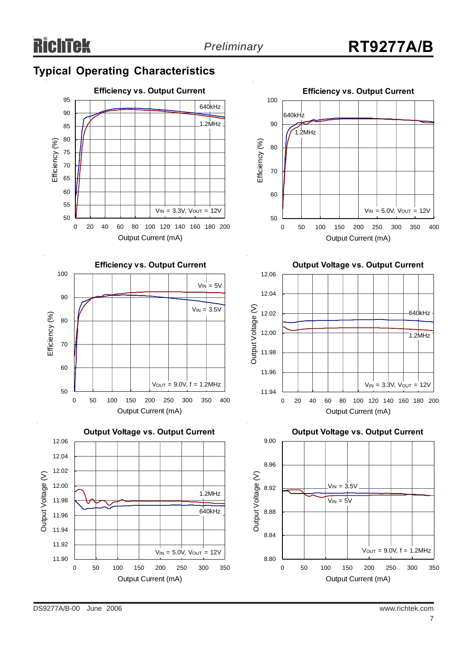## **Typical Operating Characteristics**











**Output Voltage vs. Output Current**



**Output Voltage vs. Output Current**

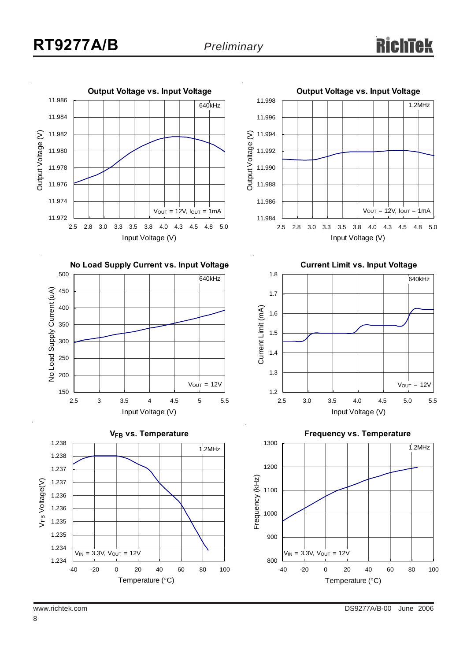



**No Load Supply Current vs. Input Voltage**







**Current Limit vs. Input Voltage**

**Output Voltage vs. Input Voltage**





8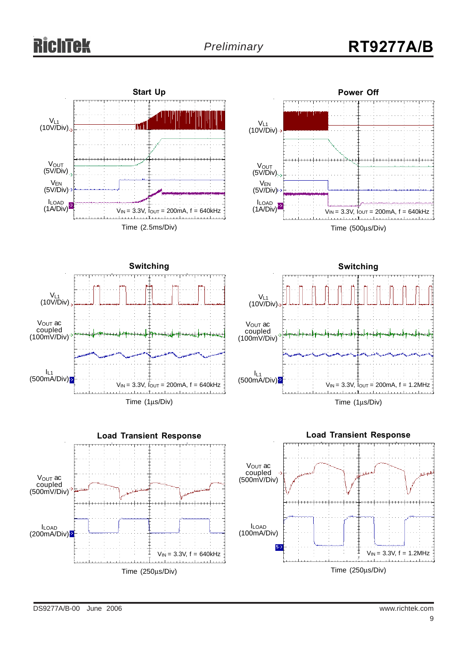# **ichTek**

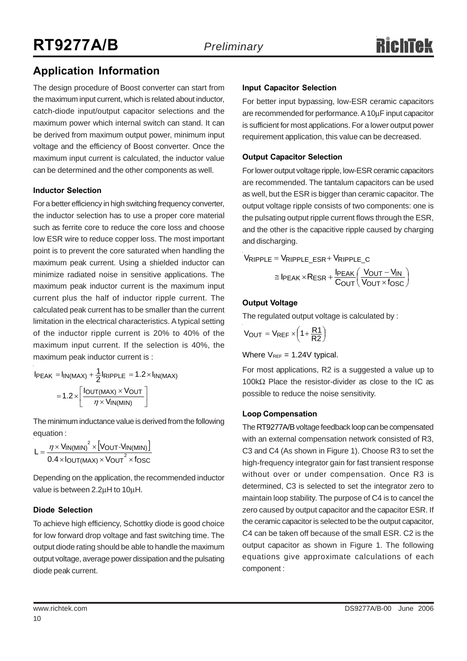## **Application Information**

The design procedure of Boost converter can start from the maximum input current, which is related about inductor, catch-diode input/output capacitor selections and the maximum power which internal switch can stand. It can be derived from maximum output power, minimum input voltage and the efficiency of Boost converter. Once the maximum input current is calculated, the inductor value can be determined and the other components as well.

#### **Inductor Selection**

For a better efficiency in high switching frequency converter, the inductor selection has to use a proper core material such as ferrite core to reduce the core loss and choose low ESR wire to reduce copper loss. The most important point is to prevent the core saturated when handling the maximum peak current. Using a shielded inductor can minimize radiated noise in sensitive applications. The maximum peak inductor current is the maximum input current plus the half of inductor ripple current. The calculated peak current has to be smaller than the current limitation in the electrical characteristics. A typical setting of the inductor ripple current is 20% to 40% of the maximum input current. If the selection is 40%, the maximum peak inductor current is :

$$
I_{PEAK} = I_{IN(MAX)} + \frac{1}{2} I_{RIPPLE} = 1.2 \times I_{IN(MAX)}
$$

$$
= 1.2 \times \left[ \frac{I_{OUT(MAX)} \times V_{OUT}}{\eta \times V_{IN(MIN)}} \right]
$$

The minimum inductance value is derived from the following equation :

|Vout-Vin(min) | OUT(MAX) × VOUT × TOSC IN(MIN)  $\times$  [Vout-Vin(MIN)  $L = \frac{\eta \times V_{IN(MIN)}^2 \times [V_{OUT} - V_{IN(N)}]}{0.4 \times I_{OUT(MAX)} \times V_{OUT}^2 \times f}$  $\times$ Iout(max) $\times$ Vout $^2$   $\times$  $=\frac{\eta \times V_{IN(MIN)}^2 \times V_{OUT}}{V_{CUT}}$ 

Depending on the application, the recommended inductor value is between 2.2μH to 10μH.

#### **Diode Selection**

To achieve high efficiency, Schottky diode is good choice for low forward drop voltage and fast switching time. The output diode rating should be able to handle the maximum output voltage, average power dissipation and the pulsating diode peak current.

#### **Input Capacitor Selection**

For better input bypassing, low-ESR ceramic capacitors are recommended for performance. A 10μF input capacitor is sufficient for most applications. For a lower output power requirement application, this value can be decreased.

#### **Output Capacitor Selection**

For lower output voltage ripple, low-ESR ceramic capacitors are recommended. The tantalum capacitors can be used as well, but the ESR is bigger than ceramic capacitor. The output voltage ripple consists of two components: one is the pulsating output ripple current flows through the ESR, and the other is the capacitive ripple caused by charging and discharging.

$$
V_{RIPPLE} = V_{RIPPLE\_ESR} + V_{RIPPLE\_C}
$$

$$
\cong I_{PEAK} \times R_{ESR} + \frac{I_{PEAK}}{C_{OUT}} \left(\frac{V_{OUT} - V_{IN}}{V_{OUT} \times f_{OSC}}\right)
$$

### **Output Voltage**

The regulated output voltage is calculated by :

$$
V_{OUT} = V_{REF} \times \left(1 + \frac{R1}{R2}\right)
$$

Where  $V_{REF} = 1.24V$  typical.

For most applications, R2 is a suggested a value up to 100kΩ Place the resistor-divider as close to the IC as possible to reduce the noise sensitivity.

#### **Loop Compensation**

The RT9277A/B voltage feedback loop can be compensated with an external compensation network consisted of R3, C3 and C4 (As shown in Figure 1). Choose R3 to set the high-frequency integrator gain for fast transient response without over or under compensation. Once R3 is determined, C3 is selected to set the integrator zero to maintain loop stability. The purpose of C4 is to cancel the zero caused by output capacitor and the capacitor ESR. If the ceramic capacitor is selected to be the output capacitor, C4 can be taken off because of the small ESR. C2 is the output capacitor as shown in Figure 1. The following equations give approximate calculations of each component :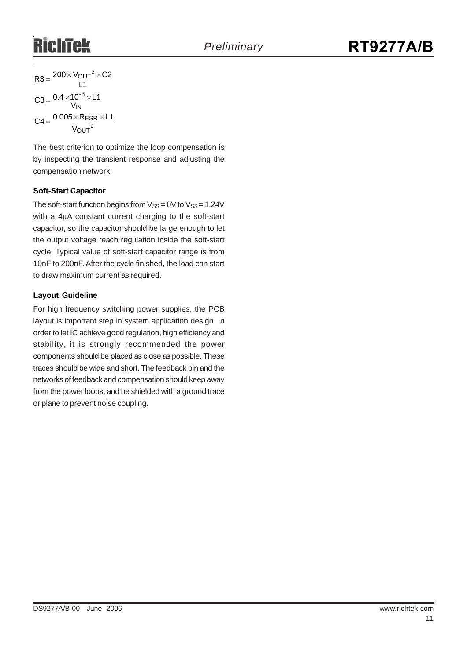$$
R3 = \frac{200 \times V_{OUT}^2 \times C2}{L1}
$$

$$
C3 = \frac{0.4 \times 10^{-3} \times L1}{V_{IN}}
$$

$$
C4 = \frac{0.005 \times R_{ESR} \times L1}{V_{OUT}^2}
$$

The best criterion to optimize the loop compensation is by inspecting the transient response and adjusting the compensation network.

#### **Soft-Start Capacitor**

The soft-start function begins from  $V_{SS} = 0V$  to  $V_{SS} = 1.24V$ with a 4μA constant current charging to the soft-start capacitor, so the capacitor should be large enough to let the output voltage reach regulation inside the soft-start cycle. Typical value of soft-start capacitor range is from 10nF to 200nF. After the cycle finished, the load can start to draw maximum current as required.

#### **Layout Guideline**

For high frequency switching power supplies, the PCB layout is important step in system application design. In order to let IC achieve good regulation, high efficiency and stability, it is strongly recommended the power components should be placed as close as possible. These traces should be wide and short. The feedback pin and the networks of feedback and compensation should keep away from the power loops, and be shielded with a ground trace or plane to prevent noise coupling.